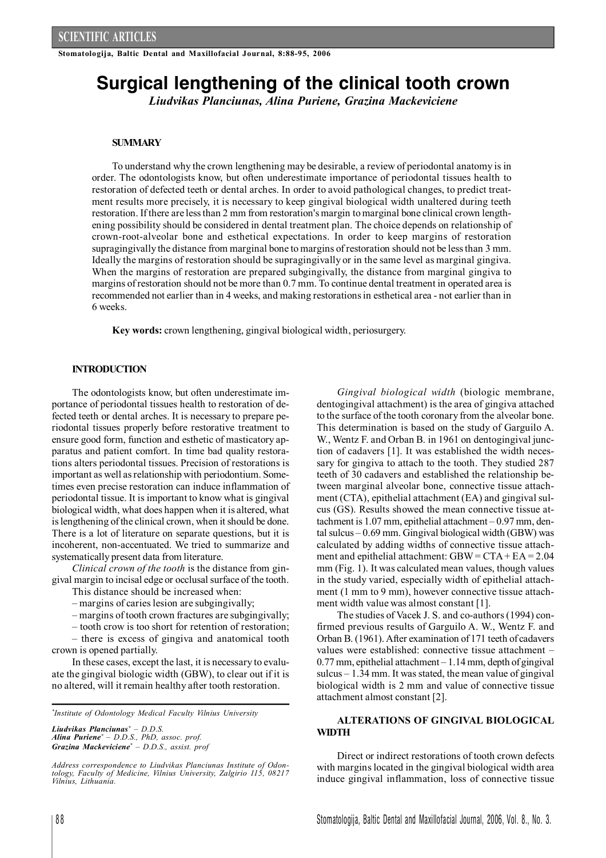**Stomatologija, Baltic Dental and Maxillofacial Journal, 8:88-95, 2006**

# **Surgical lengthening of the clinical tooth crown**

*Liudvikas Planciunas, Alina Puriene, Grazina Mackeviciene*

## **SUMMARY**

To understand why the crown lengthening may be desirable, a review of periodontal anatomy is in order. The odontologists know, but often underestimate importance of periodontal tissues health to restoration of defected teeth or dental arches. In order to avoid pathological changes, to predict treatment results more precisely, it is necessary to keep gingival biological width unaltered during teeth restoration. If there are lessthan 2 mm from restoration's margin tomarginal bone clinical crown lengthening possibility should be considered in dental treatment plan. The choice depends on relationship of crown-root-alveolar bone and esthetical expectations. In order to keep margins of restoration supragingivally the distance from marginal bone to margins of restoration should not be lessthan 3 mm. Ideally the margins of restoration should be supragingivally or in the same level as marginal gingiva. When the margins of restoration are prepared subgingivally, the distance from marginal gingiva to margins of restoration should not be more than 0.7 mm. To continue dental treatment in operated area is recommended not earlier than in 4 weeks, and making restorationsin esthetical area - not earlier than in 6 weeks.

**Key words:** crown lengthening, gingival biological width, periosurgery.

## **INTRODUCTION**

The odontologists know, but often underestimate importance of periodontal tissues health to restoration of defected teeth or dental arches. It is necessary to prepare periodontal tissues properly before restorative treatment to ensure good form, function and esthetic of masticatory apparatus and patient comfort. In time bad quality restorations alters periodontal tissues. Precision of restorations is important as well asrelationship with periodontium. Sometimes even precise restoration can induce inflammation of periodontal tissue. It is important to know what is gingival biological width, what does happen when it is altered, what is lengthening of the clinical crown, when it should be done. There is a lot of literature on separate questions, but it is incoherent, non-accentuated. We tried to summarize and systematically present data from literature.

*Clinical crown of the tooth* is the distance from gingival margin to incisal edge or occlusal surface of the tooth.

This distance should be increased when:

– margins of caries lesion are subgingivally;

– margins of tooth crown fractures are subgingivally;

– tooth crow is too short for retention of restoration;

– there is excess of gingiva and anatomical tooth crown is opened partially.

In these cases, except the last, it is necessary to evaluate the gingival biologic width (GBW), to clear out if it is no altered, will it remain healthy after tooth restoration.

*\* Institute of Odontology Medical Faculty Vilnius University*

*Liudvikas Planciunas\* – D.D.S. Alina Puriene\* – D.D.S., PhD, assoc. prof. Grazina Mackeviciene\* – D.D.S., assist. prof*

*Gingival biological width* (biologic membrane, dentogingival attachment) is the area of gingiva attached to the surface of the tooth coronary from the alveolar bone. This determination is based on the study of Garguilo A. W., Wentz F. and Orban B. in 1961 on dentogingival junction of cadavers [1]. It was established the width necessary for gingiva to attach to the tooth. They studied 287 teeth of 30 cadavers and established the relationship between marginal alveolar bone, connective tissue attachment (CTA), epithelial attachment (EA) and gingival sulcus (GS). Results showed the mean connective tissue attachment is 1.07 mm, epithelial attachment – 0.97 mm, dental sulcus – 0.69 mm. Gingival biological width (GBW) was calculated by adding widths of connective tissue attachment and epithelial attachment: GBW= CTA+ EA = 2.04 mm (Fig. 1). It was calculated mean values, though values in the study varied, especially width of epithelial attachment (1 mm to 9 mm), however connective tissue attachment width value was almost constant [1].

The studies of Vacek J. S. and co-authors(1994) confirmed previous results of Garguilo A. W., Wentz F. and Orban B. (1961). After examination of 171 teeth of cadavers values were established: connective tissue attachment –  $0.77$  mm, epithelial attachment  $-1.14$  mm, depth of gingival sulcus – 1.34 mm. It was stated, the mean value of gingival biological width is 2 mm and value of connective tissue attachment almost constant [2].

# **ALTERATIONS OF GINGIVAL BIOLOGICAL WIDTH**

Direct or indirect restorations of tooth crown defects with margins located in the gingival biological width area induce gingival inflammation, loss of connective tissue

*Address correspondence to Liudvikas Planciunas Institute of Odontology, Faculty of Medicine, Vilnius University, Zalgirio 115, 08217 Vilnius, Lithuania.*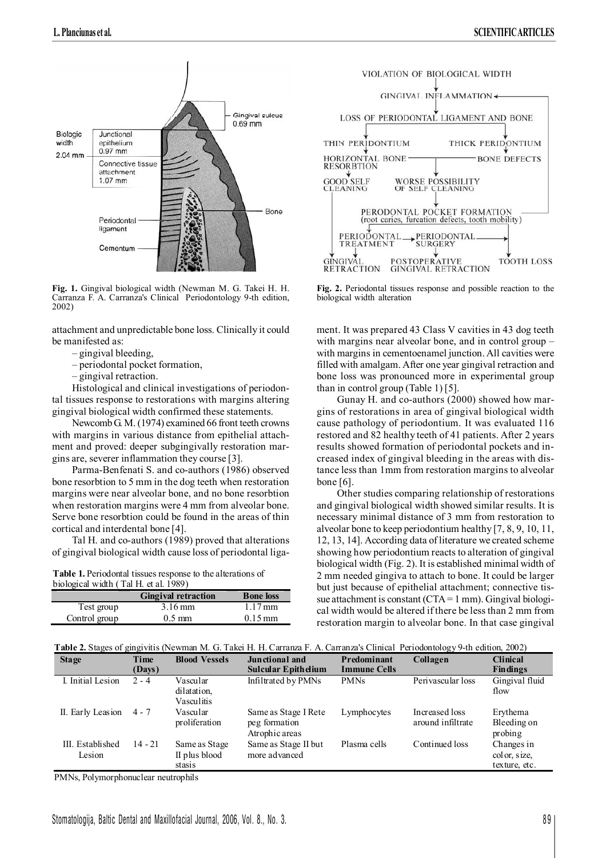

**Fig. 1.** Gingival biological width (Newman M. G. Takei H. H. Carranza F. A. Carranza's Clinical Periodontology 9-th edition, 2002)

attachment and unpredictable bone loss. Clinically it could be manifested as:

- gingival bleeding,
- periodontal pocket formation,
- gingival retraction.

Histological and clinical investigations of periodontal tissues response to restorations with margins altering gingival biological width confirmed these statements.

NewcombG. M. (1974) examined 66 front teeth crowns with margins in various distance from epithelial attachment and proved: deeper subgingivally restoration margins are, severer inflammation they course [3].

Parma-Benfenati S. and co-authors (1986) observed bone resorbtion to 5 mm in the dog teeth when restoration margins were near alveolar bone, and no bone resorbtion when restoration margins were 4 mm from alveolar bone. Serve bone resorbtion could be found in the areas of thin cortical and interdental bone [4].

Tal H. and co-authors (1989) proved that alterations of gingival biological width cause loss of periodontal liga-

**Table 1.** Periodontal tissues response to the alterations of biological width (Tal H. et al. 1989)

|               | <b>Gingival retraction</b> | <b>Bone loss</b>     |
|---------------|----------------------------|----------------------|
| Test group    | $3.16 \,\mathrm{mm}$       | $1.17 \,\mathrm{mm}$ |
| Control group | $0.5 \text{ mm}$           | $0.15 \,\mathrm{mm}$ |



**Fig. 2.** Periodontal tissues response and possible reaction to the biological width alteration

ment. It was prepared 43 Class V cavities in 43 dog teeth with margins near alveolar bone, and in control group – with margins in cementoenamel junction. All cavities were filled with amalgam. After one year gingival retraction and bone loss was pronounced more in experimental group than in control group (Table 1) [5].

Gunay H. and co-authors (2000) showed how margins of restorations in area of gingival biological width cause pathology of periodontium. It was evaluated 116 restored and 82 healthy teeth of 41 patients. After 2 years results showed formation of periodontal pockets and increased index of gingival bleeding in the areas with distance less than 1mm from restoration margins to alveolar bone  $[6]$ .

Other studies comparing relationship of restorations and gingival biological width showed similar results. It is necessary minimal distance of 3 mm from restoration to alveolar bone to keep periodontium healthy [7, 8, 9, 10, 11, 12, 13, 14]. According data of literature we created scheme showing how periodontium reacts to alteration of gingival biological width (Fig. 2). It is established minimal width of 2 mm needed gingiva to attach to bone. It could be larger but just because of epithelial attachment; connective tissue attachment is constant  $(CTA = 1$  mm). Gingival biological width would be altered if there be less than 2 mm from restoration margin to alveolar bone. In that case gingival

|  |  | Table 2. Stages of gingivitis (Newman M. G. Takei H. H. Carranza F. A. Carranza's Clinical Periodontology 9-th edition, 2002) |  |
|--|--|-------------------------------------------------------------------------------------------------------------------------------|--|
|--|--|-------------------------------------------------------------------------------------------------------------------------------|--|

| <b>Stage</b>               | Time<br>(Days) | <b>Blood Vessels</b>                     | Junctional and<br><b>Sulcular Epithelium</b>            | Predominant<br><b>Immune Cells</b> | Collagen                            | <b>Clinical</b><br><b>Findings</b>          |
|----------------------------|----------------|------------------------------------------|---------------------------------------------------------|------------------------------------|-------------------------------------|---------------------------------------------|
| I. Initial Lesion          | $2 - 4$        | Vascular<br>dilatation.<br>Vasculitis    | Infiltrated by PMNs                                     | <b>PMNs</b>                        | Perivascular loss                   | Gingival fluid<br>flow                      |
| II. Early Leasion          | $4 - 7$        | Vascular<br>proliferation                | Same as Stage I Rete<br>peg formation<br>Atrophic areas | Lymphocytes                        | Increased loss<br>around infiltrate | Erythema<br>Bleeding on<br>probing          |
| III. Established<br>Lesion | $14 - 21$      | Same as Stage<br>II plus blood<br>stasis | Same as Stage II but<br>more advanced                   | Plasma cells                       | Continued loss                      | Changes in<br>color, size,<br>texture, etc. |

PMNs, Polymorphonuclear neutrophils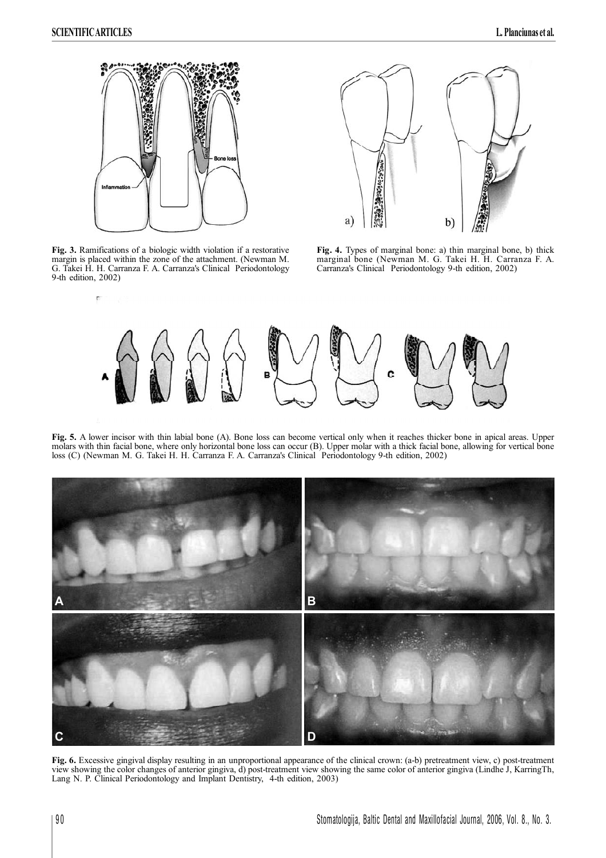



**Fig. 3.** Ramifications of a biologic width violation if a restorative margin is placed within the zone of the attachment. (Newman M. G. Takei H. H. Carranza F. A. Carranza's Clinical Periodontology 9-th edition, 2002)

**Fig. 4.** Types of marginal bone: a) thin marginal bone, b) thick marginal bone (Newman M. G. Takei H. H. Carranza F. A. Carranza's Clinical Periodontology 9-th edition, 2002)



**Fig. 5.** A lower incisor with thin labial bone (A). Bone loss can become vertical only when it reaches thicker bone in apical areas. Upper molars with thin facial bone, where only horizontal bone loss can occur (B). Upper molar with a thick facial bone, allowing for vertical bone loss (C) (Newman M. G. Takei H. H. Carranza F. A. Carranza's Clinical Periodontology 9-th edition, 2002)



**Fig. 6.** Excessive gingival display resulting in an unproportional appearance of the clinical crown: (a-b) pretreatment view, c) post-treatment view showing the color changes of anterior gingiva, d) post-treatment view showing the same color of anterior gingiva (Lindhe J, KarringTh, Lang N. P. Clinical Periodontology and Implant Dentistry, 4-th edition, 2003)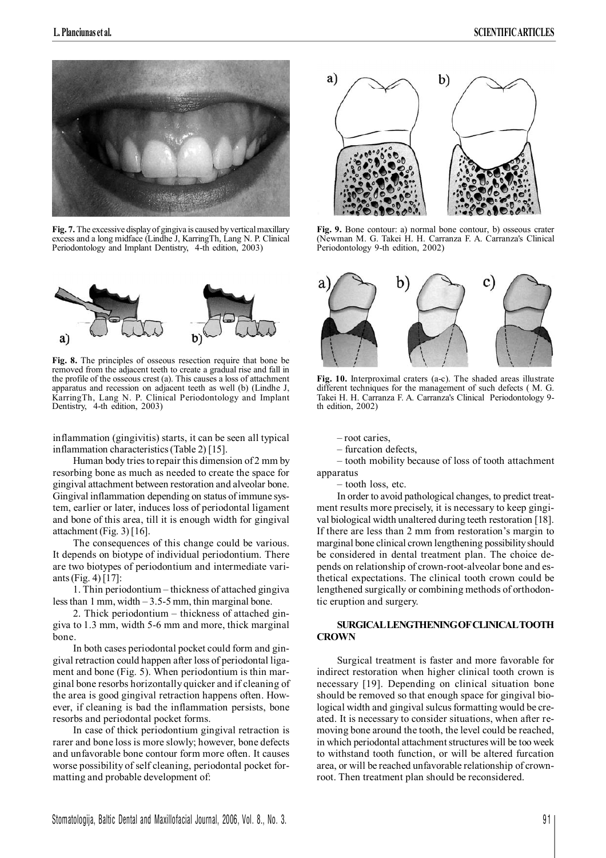

**Fig. 7.** The excessive display of gingiva is caused by vertical maxillary excess and a long midface (Lindhe J, KarringTh, Lang N. P. Clinical Periodontology and Implant Dentistry, 4-th edition, 2003)



**Fig. 8.** The principles of osseous resection require that bone be removed from the adjacent teeth to create a gradual rise and fall in the profile of the osseous crest (a). This causes a loss of attachment apparatus and recession on adjacent teeth as well (b) (Lindhe J, KarringTh, Lang N. P. Clinical Periodontology and Implant Dentistry, 4-th edition, 2003)

inflammation (gingivitis) starts, it can be seen all typical inflammation characteristics(Table 2) [15].

Human body tries to repair this dimension of 2 mm by resorbing bone as much as needed to create the space for gingival attachment between restoration and alveolar bone. Gingival inflammation depending on status of immune system, earlier or later, induces loss of periodontal ligament and bone of this area, till it is enough width for gingival attachment (Fig. 3) [16].

The consequences of this change could be various. It depends on biotype of individual periodontium. There are two biotypes of periodontium and intermediate variants(Fig. 4) [17]:

1. Thin periodontium – thickness of attached gingiva less than 1 mm, width  $-3.5-5$  mm, thin marginal bone.

2. Thick periodontium – thickness of attached gingiva to 1.3 mm, width 5-6 mm and more, thick marginal bone.

In both cases periodontal pocket could form and gingival retraction could happen after loss of periodontal ligament and bone (Fig. 5). When periodontium is thin marginal bone resorbs horizontally quicker and if cleaning of the area is good gingival retraction happens often. However, if cleaning is bad the inflammation persists, bone resorbs and periodontal pocket forms.

In case of thick periodontium gingival retraction is rarer and bone loss is more slowly; however, bone defects and unfavorable bone contour form more often. It causes worse possibility of self cleaning, periodontal pocket formatting and probable development of:



**Fig. 9.** Bone contour: a) normal bone contour, b) osseous crater (Newman M. G. Takei H. H. Carranza F. A. Carranza's Clinical Periodontology 9-th edition, 2002)



**Fig. 10.** Interproximal craters (a-c). The shaded areas illustrate different techniques for the management of such defects ( M. G. Takei H. H. Carranza F. A. Carranza's Clinical Periodontology 9 th edition, 2002)

– root caries,

– furcation defects,

– tooth mobility because of loss of tooth attachment apparatus

– tooth loss, etc.

In order to avoid pathological changes, to predict treatment results more precisely, it is necessary to keep gingival biological width unaltered during teeth restoration [18]. If there are less than 2 mm from restoration's margin to marginal bone clinical crown lengthening possibilityshould be considered in dental treatment plan. The choice depends on relationship of crown-root-alveolar bone and esthetical expectations. The clinical tooth crown could be lengthened surgically or combining methods of orthodontic eruption and surgery.

## **SURGICALLENGTHENINGOFCLINICALTOOTH CROWN**

Surgical treatment is faster and more favorable for indirect restoration when higher clinical tooth crown is necessary [19]. Depending on clinical situation bone should be removed so that enough space for gingival biological width and gingival sulcus formatting would be created. It is necessary to consider situations, when after removing bone around the tooth, the level could be reached, in which periodontal attachment structures will be too week to withstand tooth function, or will be altered furcation area, or will be reached unfavorable relationship of crownroot. Then treatment plan should be reconsidered.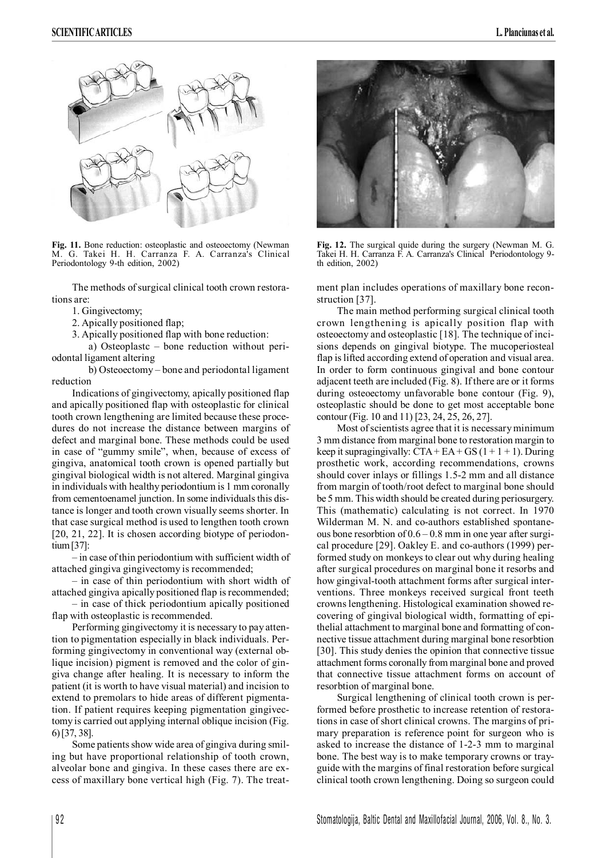

**Fig. 11.** Bone reduction: osteoplastic and osteoectomy (Newman M. G. Takei H. H. Carranza F. A. Carranza's Clinical Periodontology 9-th edition, 2002)

The methods of surgical clinical tooth crown restorations are:

1. Gingivectomy;

2. Apically positioned flap;

3. Apically positioned flap with bone reduction:

a) Osteoplastc – bone reduction without periodontal ligament altering

b) Osteoectomy – bone and periodontal ligament reduction

Indications of gingivectomy, apically positioned flap and apically positioned flap with osteoplastic for clinical tooth crown lengthening are limited because these procedures do not increase the distance between margins of defect and marginal bone. These methods could be used in case of "gummy smile", when, because of excess of gingiva, anatomical tooth crown is opened partially but gingival biological width is not altered. Marginal gingiva in individuals with healthy periodontium is 1 mm coronally from cementoenamel junction. In some individuals this distance is longer and tooth crown visually seems shorter. In that case surgical method is used to lengthen tooth crown [20, 21, 22]. It is chosen according biotype of periodontium[37]:

– in case of thin periodontium with sufficient width of attached gingiva gingivectomy is recommended;

– in case of thin periodontium with short width of attached gingiva apically positioned flap is recommended;

– in case of thick periodontium apically positioned flap with osteoplastic is recommended.

Performing gingivectomy it is necessary to pay attention to pigmentation especially in black individuals. Performing gingivectomy in conventional way (external oblique incision) pigment is removed and the color of gingiva change after healing. It is necessary to inform the patient (it is worth to have visual material) and incision to extend to premolars to hide areas of different pigmentation. If patient requires keeping pigmentation gingivectomy is carried out applying internal oblique incision (Fig. 6)[37, 38].

Some patients show wide area of gingiva during smiling but have proportional relationship of tooth crown, alveolar bone and gingiva. In these cases there are excess of maxillary bone vertical high (Fig. 7). The treat-



**Fig. 12.** The surgical quide during the surgery (Newman M. G. Takei H. H. Carranza F. A. Carranza's Clinical Periodontology 9 th edition, 2002)

ment plan includes operations of maxillary bone reconstruction [37].

The main method performing surgical clinical tooth crown lengthening is apically position flap with osteoectomy and osteoplastic [18]. The technique of incisions depends on gingival biotype. The mucoperiosteal flap is lifted according extend of operation and visual area. In order to form continuous gingival and bone contour adjacent teeth are included (Fig. 8). If there are or it forms during osteoectomy unfavorable bone contour (Fig. 9), osteoplastic should be done to get most acceptable bone contour (Fig. 10 and 11) [23, 24, 25, 26, 27].

Most of scientists agree that it is necessary minimum 3 mm distance from marginal bone to restoration margin to keep it supragingivally:  $CTA + EA + GS(1 + 1 + 1)$ . During prosthetic work, according recommendations, crowns should cover inlays or fillings 1.5-2 mm and all distance from margin of tooth/root defect to marginal bone should be 5 mm. This width should be created during periosurgery. This (mathematic) calculating is not correct. In 1970 Wilderman M. N. and co-authors established spontaneous bone resorbtion of  $0.6 - 0.8$  mm in one year after surgical procedure [29]. Oakley E. and co-authors (1999) performed study on monkeys to clear out why during healing after surgical procedures on marginal bone it resorbs and how gingival-tooth attachment forms after surgical interventions. Three monkeys received surgical front teeth crownslengthening. Histological examination showed recovering of gingival biological width, formatting of epithelial attachment to marginal bone and formatting of connective tissue attachment during marginal bone resorbtion [30]. This study denies the opinion that connective tissue attachment forms coronally from marginal bone and proved that connective tissue attachment forms on account of resorbtion of marginal bone.

Surgical lengthening of clinical tooth crown is performed before prosthetic to increase retention of restorations in case of short clinical crowns. The margins of primary preparation is reference point for surgeon who is asked to increase the distance of 1-2-3 mm to marginal bone. The best way is to make temporary crowns or trayguide with the margins of final restoration before surgical clinical tooth crown lengthening. Doing so surgeon could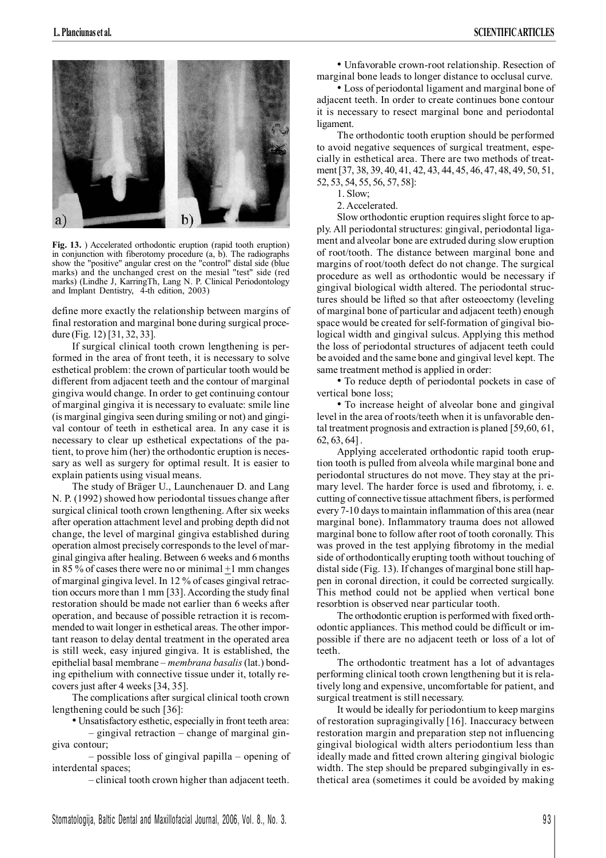

**Fig. 13.** ) Accelerated orthodontic eruption (rapid tooth eruption) in conjunction with fiberotomy procedure (a, b). The radiographs show the "positive" angular crest on the "control" distal side (blue marks) and the unchanged crest on the mesial "test" side (red marks) (Lindhe J, KarringTh, Lang N. P. Clinical Periodontology and Implant Dentistry, 4-th edition, 2003)

define more exactly the relationship between margins of final restoration and marginal bone during surgical procedure (Fig. 12) [31, 32, 33].

If surgical clinical tooth crown lengthening is performed in the area of front teeth, it is necessary to solve esthetical problem: the crown of particular tooth would be different from adjacent teeth and the contour of marginal gingiva would change. In order to get continuing contour of marginal gingiva it is necessary to evaluate: smile line (is marginal gingiva seen during smiling or not) and gingival contour of teeth in esthetical area. In any case it is necessary to clear up esthetical expectations of the patient, to prove him (her) the orthodontic eruption is necessary as well as surgery for optimal result. It is easier to explain patients using visual means.

The study of Bräger U., Launchenauer D. and Lang N. P. (1992) showed how periodontal tissues change after surgical clinical tooth crown lengthening. After six weeks after operation attachment level and probing depth did not change, the level of marginal gingiva established during operation almost precisely corresponds to the level of marginal gingiva after healing. Between 6 weeks and 6 months in 85 % of cases there were no or minimal +1 mm changes of marginal gingiva level. In 12 % of cases gingival retraction occurs more than 1 mm [33]. According the study final restoration should be made not earlier than 6 weeks after operation, and because of possible retraction it is recommended to wait longer in esthetical areas. The other important reason to delay dental treatment in the operated area is still week, easy injured gingiva. It is established, the epithelial basal membrane – *membrana basalis* (lat.) bonding epithelium with connective tissue under it, totally recovers just after 4 weeks [34, 35].

The complications after surgical clinical tooth crown lengthening could be such [36]:

• Unsatisfactory esthetic, especially in front teeth area:

– gingival retraction – change of marginal gingiva contour;

– possible loss of gingival papilla – opening of interdental spaces;

– clinical tooth crown higher than adjacent teeth.

• Unfavorable crown-root relationship. Resection of marginal bone leads to longer distance to occlusal curve.

• Loss of periodontal ligament and marginal bone of adjacent teeth. In order to create continues bone contour it is necessary to resect marginal bone and periodontal ligament.

The orthodontic tooth eruption should be performed to avoid negative sequences of surgical treatment, especially in esthetical area. There are two methods of treatment[37, 38, 39, 40, 41, 42, 43, 44, 45, 46, 47, 48, 49, 50, 51, 52, 53, 54, 55, 56, 57, 58]:

1. Slow;

2. Accelerated.

Slow orthodontic eruption requires slight force to apply. All periodontal structures: gingival, periodontal ligament and alveolar bone are extruded during slow eruption of root/tooth. The distance between marginal bone and margins of root/tooth defect do not change. The surgical procedure as well as orthodontic would be necessary if gingival biological width altered. The periodontal structures should be lifted so that after osteoectomy (leveling of marginal bone of particular and adjacent teeth) enough space would be created for self-formation of gingival biological width and gingival sulcus. Applying this method the loss of periodontal structures of adjacent teeth could be avoided and the same bone and gingival level kept. The same treatment method is applied in order:

• To reduce depth of periodontal pockets in case of vertical bone loss;

• To increase height of alveolar bone and gingival level in the area of roots/teeth when it is unfavorable dental treatment prognosis and extraction is planed [59,60, 61, 62, 63, 64] .

Applying accelerated orthodontic rapid tooth eruption tooth is pulled from alveola while marginal bone and periodontal structures do not move. They stay at the primary level. The harder force is used and fibrotomy, i. e. cutting of connective tissue attachment fibers, is performed every 7-10 days to maintain inflammation of this area (near marginal bone). Inflammatory trauma does not allowed marginal bone to follow after root of tooth coronally. This was proved in the test applying fibrotomy in the medial side of orthodontically erupting tooth without touching of distal side (Fig. 13). If changes of marginal bone still happen in coronal direction, it could be corrected surgically. This method could not be applied when vertical bone resorbtion is observed near particular tooth.

The orthodontic eruption is performed with fixed orthodontic appliances. This method could be difficult or impossible if there are no adjacent teeth or loss of a lot of teeth.

The orthodontic treatment has a lot of advantages performing clinical tooth crown lengthening but it is relatively long and expensive, uncomfortable for patient, and surgical treatment is still necessary.

It would be ideally for periodontium to keep margins of restoration supragingivally [16]. Inaccuracy between restoration margin and preparation step not influencing gingival biological width alters periodontium less than ideally made and fitted crown altering gingival biologic width. The step should be prepared subgingivally in esthetical area (sometimes it could be avoided by making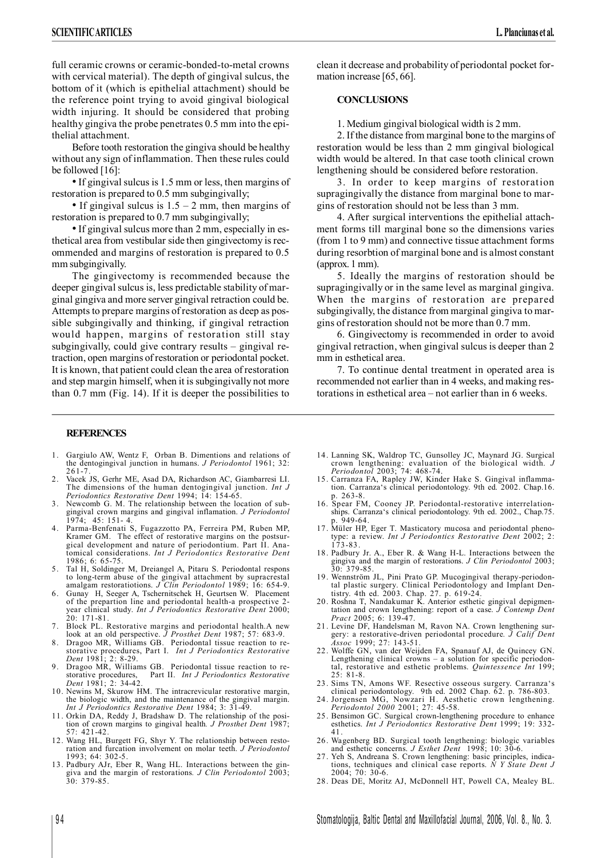full ceramic crowns or ceramic-bonded-to-metal crowns with cervical material). The depth of gingival sulcus, the bottom of it (which is epithelial attachment) should be the reference point trying to avoid gingival biological width injuring. It should be considered that probing healthy gingiva the probe penetrates 0.5 mm into the epithelial attachment.

Before tooth restoration the gingiva should be healthy without any sign of inflammation. Then these rules could be followed [16]:

•If gingival sulcus is 1.5 mm or less, then margins of restoration is prepared to 0.5 mm subgingivally;

• If gingival sulcus is  $1.5 - 2$  mm, then margins of restoration is prepared to 0.7 mm subgingivally;

•If gingival sulcus more than 2 mm, especially in esthetical area from vestibular side then gingivectomy is recommended and margins of restoration is prepared to 0.5 mm subgingivally.

The gingivectomy is recommended because the deeper gingival sulcus is, less predictable stability of marginal gingiva and more server gingival retraction could be. Attempts to prepare margins of restoration as deep as possible subgingivally and thinking, if gingival retraction would happen, margins of restoration still stay subgingivally, could give contrary results – gingival retraction, open margins of restoration or periodontal pocket. It is known, that patient could clean the area of restoration and step margin himself, when it is subgingivally not more than 0.7 mm (Fig. 14). If it is deeper the possibilities to

## **REFERENCES**

- 1. Gargiulo AW, Wentz F, Orban B. Dimentions and relations of the dentogingival junction in humans. *J Periodontol* 1961; 32: 261-7.
- Vacek JS, Gerhr ME, Asad DA, Richardson AC, Giambarresi LI The dimensions of the human dentogingival junction. *Int J Periodontics Restorative Dent* 1994; 14: 154-65.
- 3. Newcomb G. M. The relationship between the location of subgingival crown margins and gingival inflamation. *J Periodontol* 1974; 45: 151- 4.
- 4. Parma-Benfenati S, Fugazzotto PA, Ferreira PM, Ruben MP, Kramer GM. The effect of restorative margins on the postsurgical development and nature of periodontium. Part II. Anatomical considerations. *Int J Periodontics Restorative Dent* 1986; 6: 65-75.
- 5. Tal H, Soldinger M, Dreiangel A, Pitaru S. Periodontal respons to long-term abuse of the gingival attachment by supracrestal amalgam restoratiotions. *J Clin Periodontol* 1989; 16: 654-9.
- 6. Gunay H, Seeger A, Tschernitschek H, Geurtsen W. Placement of the prepartion line and periodontal health-a prospective 2 year clinical study. *Int J Periodontics Restorative Dent* 2000; 20: 171-81.
- 7. Block PL. Restorative margins and periodontal health.A new look at an old perspective. *J Prosthet Dent* 1987; 57: 683-9.
- Dragoo MR, Williams GB. Periodontal tissue reaction to restorative procedures, Part I. *Int J Periodontics Restorative Dent* 1981; 2: 8-29.
- 9. Dragoo MR, Williams GB. Periodontal tissue reaction to re-storative procedures, Part II. *Int J Periodontics Restorative Dent* 1981; 2: 34-42.
- 10. Newins M, Skurow HM. The intracrevicular restorative margin, the biologic width, and the maintenance of the gingival margin. *Int J Periodontics Restorative Dent* 1984; 3: 31-49.
- 11. Orkin DA, Reddy J, Bradshaw D. The relationship of the posi-tion of crown margins to gingival health*. J Prosthet Dent* 1987; 57: 421-42.
- 12. Wang HL, Burgett FG, Shyr Y. The relationship between restoration and furcation involvement on molar teeth. *J Periodontol* 1993; 64: 302-5.
- 13. Padbury AJr, Eber R, Wang HL. Interactions between the gingiva and the margin of restorations*. J Clin Periodontol* 2003; 30: 379-85.

clean it decrease and probability of periodontal pocket formation increase [65, 66].

## **CONCLUSIONS**

1. Medium gingival biological width is 2 mm.

2. If the distance from marginal bone to the margins of restoration would be less than 2 mm gingival biological width would be altered. In that case tooth clinical crown lengthening should be considered before restoration.

3. In order to keep margins of restoration supragingivally the distance from marginal bone to margins of restoration should not be less than 3 mm.

4. After surgical interventions the epithelial attachment forms till marginal bone so the dimensions varies (from 1 to 9 mm) and connective tissue attachment forms during resorbtion of marginal bone and is almost constant (approx. 1 mm).

5. Ideally the margins of restoration should be supragingivally or in the same level as marginal gingiva. When the margins of restoration are prepared subgingivally, the distance from marginal gingiva to margins of restoration should not be more than 0.7 mm.

6. Gingivectomy is recommended in order to avoid gingival retraction, when gingival sulcus is deeper than 2 mm in esthetical area.

7. To continue dental treatment in operated area is recommended not earlier than in 4 weeks, and making restorations in esthetical area – not earlier than in 6 weeks.

- 14. Lanning SK, Waldrop TC, Gunsolley JC, Maynard JG. Surgical crown lengthening: evaluation of the biological width. *J Periodontol* 2003; 74: 468-74.
- 15. Carranza FA, Rapley JW, Kinder Hake S. Gingival inflammation. Carranza's clinical periodontology. 9th ed. 2002. Chap.16. p. 263-8.
- 16. Spear FM, Cooney JP. Periodontal-restorative interrelationships. Carranza's clinical periodontology. 9th ed. 2002., Chap.75. p. 949-64.
- 17. Müler HP, Eger T. Masticatory mucosa and periodontal phenotype: a review. *Int J Periodontics Restorative Dent* 2002; 2: 173-83.
- 18. Padbury Jr. A., Eber R. & Wang H-L. Interactions between the gingiva and the margin of restorations. *J Clin Periodontol* 2003; 30: 379-85.
- 19. Wennström JL, Pini Prato GP. Mucogingival therapy-periodontal plastic surgery. Clinical Periodontology and Implant Dentistry. 4th ed. 2003. Chap. 27. p. 619-24.
- 20. Roshna T, Nandakumar K. Anterior esthetic gingival depigmentation and crown lengthening: report of a case. *J Contemp Dent Pract* 2005; 6: 139-47.
- 21. Levine DF, Handelsman M, Ravon NA. Crown lengthening surgery: a restorative-driven periodontal procedure*. J Calif Dent Assoc* 1999; 27: 143-51.
- 22. Wolffe GN, van der Weijden FA, Spanauf AJ, de Quincey GN. Lengthening clinical crowns – a solution for specific periodontal, restorative and esthetic problems. *Quintessence Int* 199; 25: 81-8.
- 23. Sims TN, Amons WF. Resective osseous surgery. Carranza's clinical periodontology. 9th ed. 2002 Chap. 62. p. 786-803. 24. Jorgensen MG, Nowzari H. Aesthetic crown lengthening.
- *Periodontol 2000* 2001; 27: 45-58.
- 25. Bensimon GC. Surgical crown-lengthening procedure to enhance esthetics. *Int J Periodontics Restorative Dent* 1999; 19: 332- 41.
- 26. Wagenberg BD. Surgical tooth lengthening: biologic variables and esthetic concerns. *J Esthet Dent* 1998; 10: 30-6.
- 27. Yeh S, Andreana S. Crown lengthening: basic principles, indications, techniques and clinical case reports. *N Y State Dent J*  $2004:70:30-6$
- 28. Deas DE, Moritz AJ, McDonnell HT, Powell CA, Mealey BL.